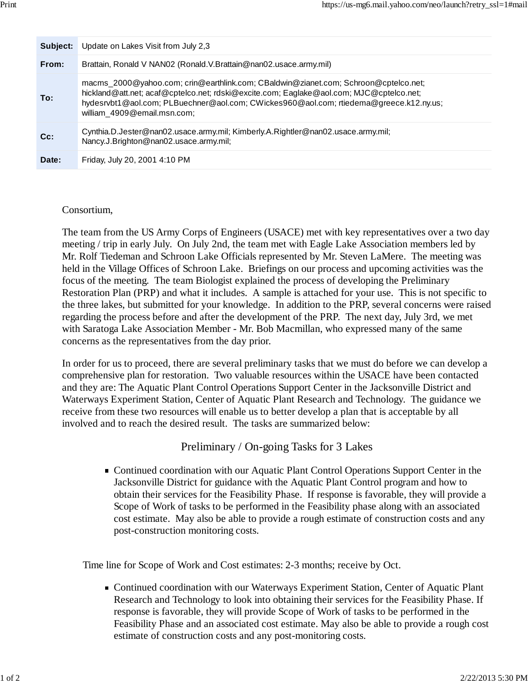| Subject: | Update on Lakes Visit from July 2.3                                                                                                                                                                                                                                                                     |
|----------|---------------------------------------------------------------------------------------------------------------------------------------------------------------------------------------------------------------------------------------------------------------------------------------------------------|
| From:    | Brattain, Ronald V NAN02 (Ronald.V.Brattain@nan02.usace.army.mil)                                                                                                                                                                                                                                       |
| To:      | macms_2000@yahoo.com; crin@earthlink.com; CBaldwin@zianet.com; Schroon@cptelco.net;<br>hickland@att.net; acaf@cptelco.net; rdski@excite.com; Eaglake@aol.com; MJC@cptelco.net;<br>hydesrvbt1@aol.com; PLBuechner@aol.com; CWickes960@aol.com; rtiedema@greece.k12.ny.us;<br>william_4909@email.msn.com; |
| $Cc$ :   | Cynthia.D.Jester@nan02.usace.army.mil; Kimberly.A.Rightler@nan02.usace.army.mil;<br>Nancy.J.Brighton@nan02.usace.army.mil;                                                                                                                                                                              |
| Date:    | Friday, July 20, 2001 4:10 PM                                                                                                                                                                                                                                                                           |

## Consortium,

The team from the US Army Corps of Engineers (USACE) met with key representatives over a two day meeting / trip in early July. On July 2nd, the team met with Eagle Lake Association members led by Mr. Rolf Tiedeman and Schroon Lake Officials represented by Mr. Steven LaMere. The meeting was held in the Village Offices of Schroon Lake. Briefings on our process and upcoming activities was the focus of the meeting. The team Biologist explained the process of developing the Preliminary Restoration Plan (PRP) and what it includes. A sample is attached for your use. This is not specific to the three lakes, but submitted for your knowledge. In addition to the PRP, several concerns were raised regarding the process before and after the development of the PRP. The next day, July 3rd, we met with Saratoga Lake Association Member - Mr. Bob Macmillan, who expressed many of the same concerns as the representatives from the day prior.

In order for us to proceed, there are several preliminary tasks that we must do before we can develop a comprehensive plan for restoration. Two valuable resources within the USACE have been contacted and they are: The Aquatic Plant Control Operations Support Center in the Jacksonville District and Waterways Experiment Station, Center of Aquatic Plant Research and Technology. The guidance we receive from these two resources will enable us to better develop a plan that is acceptable by all involved and to reach the desired result. The tasks are summarized below:

## Preliminary / On-going Tasks for 3 Lakes

■ Continued coordination with our Aquatic Plant Control Operations Support Center in the Jacksonville District for guidance with the Aquatic Plant Control program and how to obtain their services for the Feasibility Phase. If response is favorable, they will provide a Scope of Work of tasks to be performed in the Feasibility phase along with an associated cost estimate. May also be able to provide a rough estimate of construction costs and any post-construction monitoring costs.

Time line for Scope of Work and Cost estimates: 2-3 months; receive by Oct.

Continued coordination with our Waterways Experiment Station, Center of Aquatic Plant Research and Technology to look into obtaining their services for the Feasibility Phase. If response is favorable, they will provide Scope of Work of tasks to be performed in the Feasibility Phase and an associated cost estimate. May also be able to provide a rough cost estimate of construction costs and any post-monitoring costs.